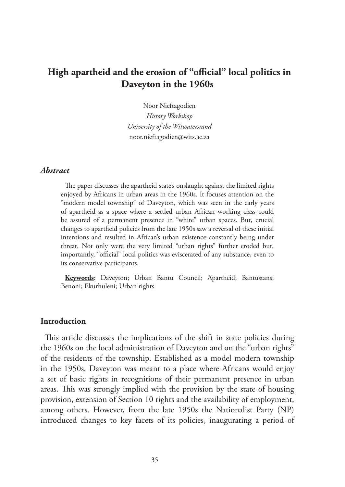# **High apartheid and the erosion of "official" local politics in Daveyton in the 1960s**

Noor Nieftagodien *History Workshop University of the Witwatersrand* noor.nieftagodien@wits.ac.za

### *Abstract*

The paper discusses the apartheid state's onslaught against the limited rights enjoyed by Africans in urban areas in the 1960s. It focuses attention on the "modern model township" of Daveyton, which was seen in the early years of apartheid as a space where a settled urban African working class could be assured of a permanent presence in "white" urban spaces. But, crucial changes to apartheid policies from the late 1950s saw a reversal of these initial intentions and resulted in African's urban existence constantly being under threat. Not only were the very limited "urban rights" further eroded but, importantly, "official" local politics was eviscerated of any substance, even to its conservative participants.

**Keywords**: Daveyton; Urban Bantu Council; Apartheid; Bantustans; Benoni; Ekurhuleni; Urban rights.

### **Introduction**

This article discusses the implications of the shift in state policies during the 1960s on the local administration of Daveyton and on the "urban rights" of the residents of the township. Established as a model modern township in the 1950s, Daveyton was meant to a place where Africans would enjoy a set of basic rights in recognitions of their permanent presence in urban areas. This was strongly implied with the provision by the state of housing provision, extension of Section 10 rights and the availability of employment, among others. However, from the late 1950s the Nationalist Party (NP) introduced changes to key facets of its policies, inaugurating a period of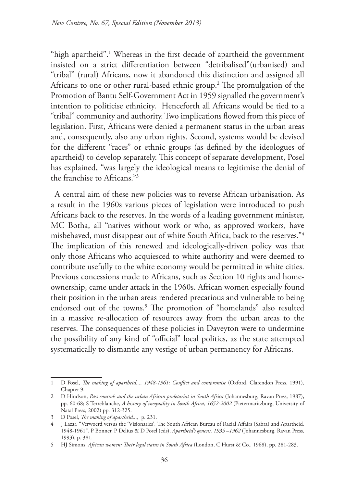"high apartheid".1 Whereas in the first decade of apartheid the government insisted on a strict differentiation between "detribalised"(urbanised) and "tribal" (rural) Africans, now it abandoned this distinction and assigned all Africans to one or other rural-based ethnic group.2 The promulgation of the Promotion of Bantu Self-Government Act in 1959 signalled the government's intention to politicise ethnicity. Henceforth all Africans would be tied to a "tribal" community and authority. Two implications flowed from this piece of legislation. First, Africans were denied a permanent status in the urban areas and, consequently, also any urban rights. Second, systems would be devised for the different "races" or ethnic groups (as defined by the ideologues of apartheid) to develop separately. This concept of separate development, Posel has explained, "was largely the ideological means to legitimise the denial of the franchise to Africans."3

A central aim of these new policies was to reverse African urbanisation. As a result in the 1960s various pieces of legislation were introduced to push Africans back to the reserves. In the words of a leading government minister, MC Botha, all "natives without work or who, as approved workers, have misbehaved, must disappear out of white South Africa, back to the reserves."4 The implication of this renewed and ideologically-driven policy was that only those Africans who acquiesced to white authority and were deemed to contribute usefully to the white economy would be permitted in white cities. Previous concessions made to Africans, such as Section 10 rights and homeownership, came under attack in the 1960s. African women especially found their position in the urban areas rendered precarious and vulnerable to being endorsed out of the towns.<sup>5</sup> The promotion of "homelands" also resulted in a massive re-allocation of resources away from the urban areas to the reserves. The consequences of these policies in Daveyton were to undermine the possibility of any kind of "official" local politics, as the state attempted systematically to dismantle any vestige of urban permanency for Africans.

<sup>1</sup> D Posel, *The making of apartheid..., 1948-1961: Conflict and compromise* (Oxford, Clarendon Press, 1991), Chapter 9.

<sup>2</sup> D Hindson, *Pass controls and the urban African proletariat in South Africa* (Johannesburg, Ravan Press, 1987), pp. 60-68; S Terreblanche, *A history of inequality in South Africa, 1652-2002* (Pietermaritzburg, University of Natal Press, 2002) pp. 312-325.

<sup>3</sup> D Posel, *The making of apartheid...,* p. 231.

<sup>4</sup> J Lazar, "Verwoerd versus the 'Visionaries', The South African Bureau of Racial Affairs (Sabra) and Apartheid, 1948-1961", P Bonner, P Delius & D Posel (eds), *Apartheid's genesis, 1935 –1962* (Johannesburg, Ravan Press, 1993), p. 381.

<sup>5</sup> HJ Simons, *African women: Their legal status in South Africa* (London, C Hurst & Co., 1968), pp. 281-283.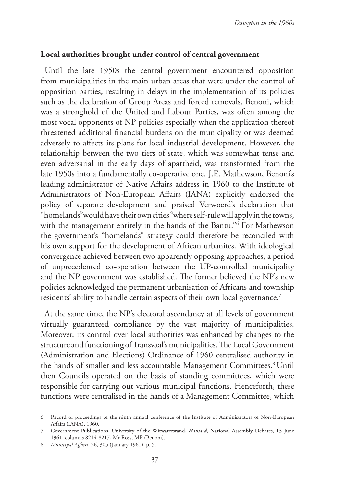### **Local authorities brought under control of central government**

Until the late 1950s the central government encountered opposition from municipalities in the main urban areas that were under the control of opposition parties, resulting in delays in the implementation of its policies such as the declaration of Group Areas and forced removals. Benoni, which was a stronghold of the United and Labour Parties, was often among the most vocal opponents of NP policies especially when the application thereof threatened additional financial burdens on the municipality or was deemed adversely to affects its plans for local industrial development. However, the relationship between the two tiers of state, which was somewhat tense and even adversarial in the early days of apartheid, was transformed from the late 1950s into a fundamentally co-operative one. J.E. Mathewson, Benoni's leading administrator of Native Affairs address in 1960 to the Institute of Administrators of Non-European Affairs (IANA) explicitly endorsed the policy of separate development and praised Verwoerd's declaration that "homelands"would have their own cities "where self-rule will apply in the towns, with the management entirely in the hands of the Bantu."6 For Mathewson the government's "homelands" strategy could therefore be reconciled with his own support for the development of African urbanites. With ideological convergence achieved between two apparently opposing approaches, a period of unprecedented co-operation between the UP-controlled municipality and the NP government was established. The former believed the NP's new policies acknowledged the permanent urbanisation of Africans and township residents' ability to handle certain aspects of their own local governance.7

At the same time, the NP's electoral ascendancy at all levels of government virtually guaranteed compliance by the vast majority of municipalities. Moreover, its control over local authorities was enhanced by changes to the structure and functioning of Transvaal's municipalities. The Local Government (Administration and Elections) Ordinance of 1960 centralised authority in the hands of smaller and less accountable Management Committees.8 Until then Councils operated on the basis of standing committees, which were responsible for carrying out various municipal functions. Henceforth, these functions were centralised in the hands of a Management Committee, which

<sup>6</sup> Record of proceedings of the ninth annual conference of the Institute of Administrators of Non-European Affairs (IANA), 1960.

<sup>7</sup> Government Publications, University of the Witwatersrand, *Hansard*, National Assembly Debates, 15 June 1961, columns 8214-8217, Mr Ross, MP (Benoni).

<sup>8</sup> *Municipal Affairs*, 26, 305 (January 1961), p. 5.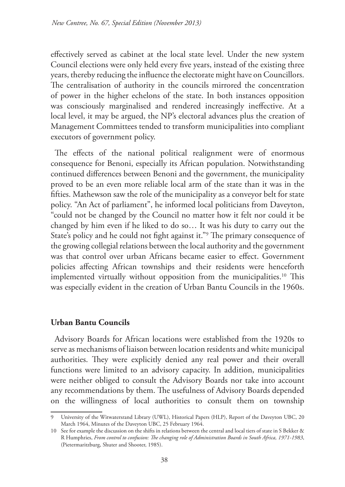effectively served as cabinet at the local state level. Under the new system Council elections were only held every five years, instead of the existing three years, thereby reducing the influence the electorate might have on Councillors. The centralisation of authority in the councils mirrored the concentration of power in the higher echelons of the state. In both instances opposition was consciously marginalised and rendered increasingly ineffective. At a local level, it may be argued, the NP's electoral advances plus the creation of Management Committees tended to transform municipalities into compliant executors of government policy.

The effects of the national political realignment were of enormous consequence for Benoni, especially its African population. Notwithstanding continued differences between Benoni and the government, the municipality proved to be an even more reliable local arm of the state than it was in the fifties. Mathewson saw the role of the municipality as a conveyor belt for state policy. "An Act of parliament", he informed local politicians from Daveyton, "could not be changed by the Council no matter how it felt nor could it be changed by him even if he liked to do so… It was his duty to carry out the State's policy and he could not fight against it."9 The primary consequence of the growing collegial relations between the local authority and the government was that control over urban Africans became easier to effect. Government policies affecting African townships and their residents were henceforth implemented virtually without opposition from the municipalities.<sup>10</sup> This was especially evident in the creation of Urban Bantu Councils in the 1960s.

### **Urban Bantu Councils**

Advisory Boards for African locations were established from the 1920s to serve as mechanisms of liaison between location residents and white municipal authorities. They were explicitly denied any real power and their overall functions were limited to an advisory capacity. In addition, municipalities were neither obliged to consult the Advisory Boards nor take into account any recommendations by them. The usefulness of Advisory Boards depended on the willingness of local authorities to consult them on township

<sup>9</sup> University of the Witwatersrand Library (UWL), Historical Papers (HLP), Report of the Daveyton UBC, 20 March 1964, Minutes of the Daveyton UBC, 25 February 1964.

<sup>10</sup> See for example the discussion on the shifts in relations between the central and local tiers of state in S Bekker & R Humphries, *From control to confusion: The changing role of Administration Boards in South Africa, 1971-1983*, (Pietermaritzburg, Shuter and Shooter, 1985).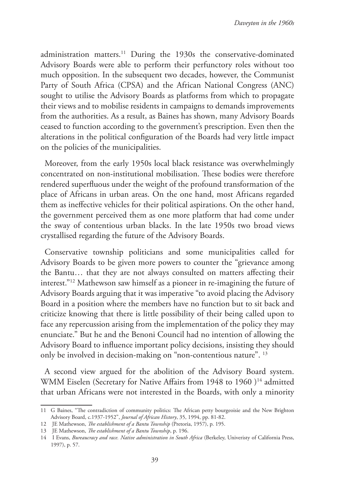administration matters.11 During the 1930s the conservative-dominated Advisory Boards were able to perform their perfunctory roles without too much opposition. In the subsequent two decades, however, the Communist Party of South Africa (CPSA) and the African National Congress (ANC) sought to utilise the Advisory Boards as platforms from which to propagate their views and to mobilise residents in campaigns to demands improvements from the authorities. As a result, as Baines has shown, many Advisory Boards ceased to function according to the government's prescription. Even then the alterations in the political configuration of the Boards had very little impact on the policies of the municipalities.

Moreover, from the early 1950s local black resistance was overwhelmingly concentrated on non-institutional mobilisation. These bodies were therefore rendered superfluous under the weight of the profound transformation of the place of Africans in urban areas. On the one hand, most Africans regarded them as ineffective vehicles for their political aspirations. On the other hand, the government perceived them as one more platform that had come under the sway of contentious urban blacks. In the late 1950s two broad views crystallised regarding the future of the Advisory Boards.

Conservative township politicians and some municipalities called for Advisory Boards to be given more powers to counter the "grievance among the Bantu… that they are not always consulted on matters affecting their interest."12 Mathewson saw himself as a pioneer in re-imagining the future of Advisory Boards arguing that it was imperative "to avoid placing the Advisory Board in a position where the members have no function but to sit back and criticize knowing that there is little possibility of their being called upon to face any repercussion arising from the implementation of the policy they may enunciate." But he and the Benoni Council had no intention of allowing the Advisory Board to influence important policy decisions, insisting they should only be involved in decision-making on "non-contentious nature". 13

A second view argued for the abolition of the Advisory Board system. WMM Eiselen (Secretary for Native Affairs from 1948 to 1960)<sup>14</sup> admitted that urban Africans were not interested in the Boards, with only a minority

<sup>11</sup> G Baines, "The contradiction of community politics: The African petty bourgeoisie and the New Brighton Advisory Board, c.1937-1952", *Journal of African History*, 35, 1994, pp. 81-82.

<sup>12</sup> JE Mathewson, *The establishment of a Bantu Township* (Pretoria, 1957), p. 195.

<sup>13</sup> JE Mathewson, *The establishment of a Bantu Township*, p. 196.

<sup>14</sup> I Evans, *Bureaucracy and race. Native administration in South Africa* (Berkeley, Univeristy of California Press, 1997), p. 57.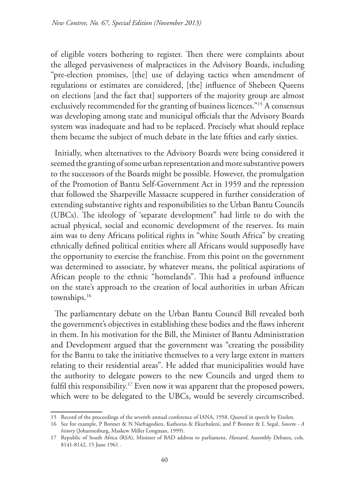of eligible voters bothering to register. Then there were complaints about the alleged pervasiveness of malpractices in the Advisory Boards, including "pre-election promises, [the] use of delaying tactics when amendment of regulations or estimates are considered, [the] influence of Shebeen Queens on elections [and the fact that] supporters of the majority group are almost exclusively recommended for the granting of business licences."15 A consensus was developing among state and municipal officials that the Advisory Boards system was inadequate and had to be replaced. Precisely what should replace them became the subject of much debate in the late fifties and early sixties.

Initially, when alternatives to the Advisory Boards were being considered it seemed the granting of some urban representation and more substantive powers to the successors of the Boards might be possible. However, the promulgation of the Promotion of Bantu Self-Government Act in 1959 and the repression that followed the Sharpeville Massacre scuppered in further consideration of extending substantive rights and responsibilities to the Urban Bantu Councils (UBCs). The ideology of 'separate development" had little to do with the actual physical, social and economic development of the reserves. Its main aim was to deny Africans political rights in "white South Africa" by creating ethnically defined political entities where all Africans would supposedly have the opportunity to exercise the franchise. From this point on the government was determined to associate, by whatever means, the political aspirations of African people to the ethnic "homelands". This had a profound influence on the state's approach to the creation of local authorities in urban African townships.16

The parliamentary debate on the Urban Bantu Council Bill revealed both the government's objectives in establishing these bodies and the flaws inherent in them. In his motivation for the Bill, the Minister of Bantu Administration and Development argued that the government was "creating the possibility for the Bantu to take the initiative themselves to a very large extent in matters relating to their residential areas". He added that municipalities would have the authority to delegate powers to the new Councils and urged them to fulfil this responsibility.<sup>17</sup> Even now it was apparent that the proposed powers, which were to be delegated to the UBCs, would be severely circumscribed.

<sup>15</sup> Record of the proceedings of the seventh annual conference of IANA, 1958. Quoted in speech by Eiselen.

<sup>16</sup> See for example, P Bonner & N Nieftagodien, Kathorus & Ekurhuleni, and P Bonner & L Segal, *Soweto - A history* (Johannesburg, Maskew Miller Longman, 1999).

<sup>17</sup> Republic of South Africa (RSA), Minister of BAD address to parliament, *Hansard*, Assembly Debates, cols. 8141-8142, 15 June 1961 .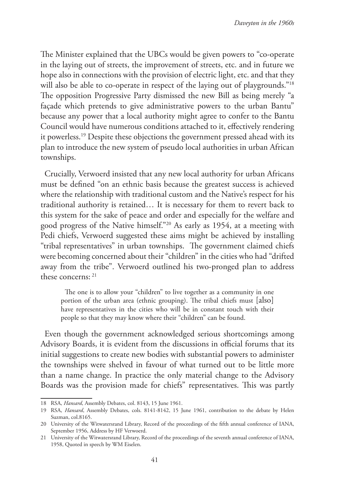The Minister explained that the UBCs would be given powers to "co-operate in the laying out of streets, the improvement of streets, etc. and in future we hope also in connections with the provision of electric light, etc. and that they will also be able to co-operate in respect of the laying out of playgrounds."<sup>18</sup> The opposition Progressive Party dismissed the new Bill as being merely "a façade which pretends to give administrative powers to the urban Bantu" because any power that a local authority might agree to confer to the Bantu Council would have numerous conditions attached to it, effectively rendering it powerless.19 Despite these objections the government pressed ahead with its plan to introduce the new system of pseudo local authorities in urban African townships.

Crucially, Verwoerd insisted that any new local authority for urban Africans must be defined "on an ethnic basis because the greatest success is achieved where the relationship with traditional custom and the Native's respect for his traditional authority is retained… It is necessary for them to revert back to this system for the sake of peace and order and especially for the welfare and good progress of the Native himself."20 As early as 1954, at a meeting with Pedi chiefs, Verwoerd suggested these aims might be achieved by installing "tribal representatives" in urban townships. The government claimed chiefs were becoming concerned about their "children" in the cities who had "drifted away from the tribe". Verwoerd outlined his two-pronged plan to address these concerns: 21

The one is to allow your "children" to live together as a community in one portion of the urban area (ethnic grouping). The tribal chiefs must [also] have representatives in the cities who will be in constant touch with their people so that they may know where their "children" can be found.

Even though the government acknowledged serious shortcomings among Advisory Boards, it is evident from the discussions in official forums that its initial suggestions to create new bodies with substantial powers to administer the townships were shelved in favour of what turned out to be little more than a name change. In practice the only material change to the Advisory Boards was the provision made for chiefs" representatives. This was partly

<sup>18</sup> RSA, *Hansard*, Assembly Debates, col. 8143, 15 June 1961.

<sup>19</sup> RSA, *Hansard*, Assembly Debates, cols. 8141-8142, 15 June 1961, contribution to the debate by Helen Suzman, col.8165.

<sup>20</sup> University of the Witwatersrand Library, Record of the proceedings of the fifth annual conference of IANA, September 1956, Address by HF Verwoerd.

<sup>21</sup> University of the Witwatersrand Library, Record of the proceedings of the seventh annual conference of IANA, 1958, Quoted in speech by WM Eiselen.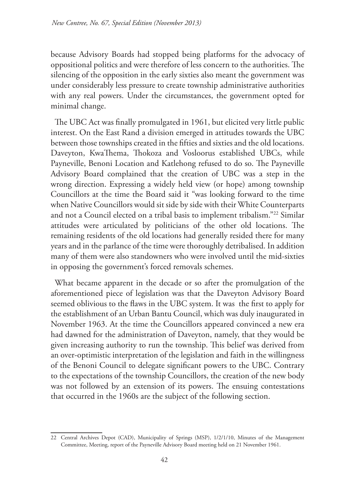because Advisory Boards had stopped being platforms for the advocacy of oppositional politics and were therefore of less concern to the authorities. The silencing of the opposition in the early sixties also meant the government was under considerably less pressure to create township administrative authorities with any real powers. Under the circumstances, the government opted for minimal change.

The UBC Act was finally promulgated in 1961, but elicited very little public interest. On the East Rand a division emerged in attitudes towards the UBC between those townships created in the fifties and sixties and the old locations. Daveyton, KwaThema, Thokoza and Vosloorus established UBCs, while Payneville, Benoni Location and Katlehong refused to do so. The Payneville Advisory Board complained that the creation of UBC was a step in the wrong direction. Expressing a widely held view (or hope) among township Councillors at the time the Board said it "was looking forward to the time when Native Councillors would sit side by side with their White Counterparts and not a Council elected on a tribal basis to implement tribalism."22 Similar attitudes were articulated by politicians of the other old locations. The remaining residents of the old locations had generally resided there for many years and in the parlance of the time were thoroughly detribalised. In addition many of them were also standowners who were involved until the mid-sixties in opposing the government's forced removals schemes.

What became apparent in the decade or so after the promulgation of the aforementioned piece of legislation was that the Daveyton Advisory Board seemed oblivious to the flaws in the UBC system. It was the first to apply for the establishment of an Urban Bantu Council, which was duly inaugurated in November 1963. At the time the Councillors appeared convinced a new era had dawned for the administration of Daveyton, namely, that they would be given increasing authority to run the township. This belief was derived from an over-optimistic interpretation of the legislation and faith in the willingness of the Benoni Council to delegate significant powers to the UBC. Contrary to the expectations of the township Councillors, the creation of the new body was not followed by an extension of its powers. The ensuing contestations that occurred in the 1960s are the subject of the following section.

<sup>22</sup> Central Archives Depot (CAD), Municipality of Springs (MSP), 1/2/1/10, Minutes of the Management Committee, Meeting, report of the Payneville Advisory Board meeting held on 21 November 1961.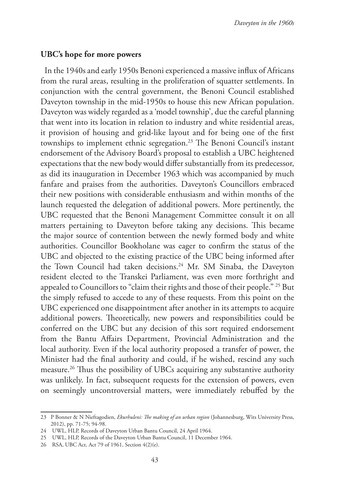### **UBC's hope for more powers**

In the 1940s and early 1950s Benoni experienced a massive influx of Africans from the rural areas, resulting in the proliferation of squatter settlements. In conjunction with the central government, the Benoni Council established Daveyton township in the mid-1950s to house this new African population. Daveyton was widely regarded as a 'model township', due the careful planning that went into its location in relation to industry and white residential areas, it provision of housing and grid-like layout and for being one of the first townships to implement ethnic segregation.<sup>23</sup> The Benoni Council's instant endorsement of the Advisory Board's proposal to establish a UBC heightened expectations that the new body would differ substantially from its predecessor, as did its inauguration in December 1963 which was accompanied by much fanfare and praises from the authorities. Daveyton's Councillors embraced their new positions with considerable enthusiasm and within months of the launch requested the delegation of additional powers. More pertinently, the UBC requested that the Benoni Management Committee consult it on all matters pertaining to Daveyton before taking any decisions. This became the major source of contention between the newly formed body and white authorities. Councillor Bookholane was eager to confirm the status of the UBC and objected to the existing practice of the UBC being informed after the Town Council had taken decisions.<sup>24</sup> Mr. SM Sinaba, the Daveyton resident elected to the Transkei Parliament, was even more forthright and appealed to Councillors to "claim their rights and those of their people." 25 But the simply refused to accede to any of these requests. From this point on the UBC experienced one disappointment after another in its attempts to acquire additional powers. Theoretically, new powers and responsibilities could be conferred on the UBC but any decision of this sort required endorsement from the Bantu Affairs Department, Provincial Administration and the local authority. Even if the local authority proposed a transfer of power, the Minister had the final authority and could, if he wished, rescind any such measure.26 Thus the possibility of UBCs acquiring any substantive authority was unlikely. In fact, subsequent requests for the extension of powers, even on seemingly uncontroversial matters, were immediately rebuffed by the

<sup>23</sup> P Bonner & N Nieftagodien, *Ekurhuleni: The making of an urban region* (Johannesburg, Wits University Press, 2012), pp. 71-75; 94-98.

<sup>24</sup> UWL, HLP, Records of Daveyton Urban Bantu Council, 24 April 1964.

<sup>25</sup> UWL, HLP, Records of the Daveyton Urban Bantu Council, 11 December 1964.

<sup>26</sup> RSA, UBC Act, Act 79 of 1961, Section 4(2)(e).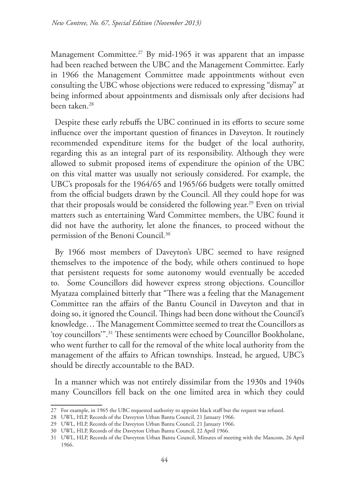Management Committee.<sup>27</sup> By mid-1965 it was apparent that an impasse had been reached between the UBC and the Management Committee. Early in 1966 the Management Committee made appointments without even consulting the UBC whose objections were reduced to expressing "dismay" at being informed about appointments and dismissals only after decisions had been taken.28

Despite these early rebuffs the UBC continued in its efforts to secure some influence over the important question of finances in Daveyton. It routinely recommended expenditure items for the budget of the local authority, regarding this as an integral part of its responsibility. Although they were allowed to submit proposed items of expenditure the opinion of the UBC on this vital matter was usually not seriously considered. For example, the UBC's proposals for the 1964/65 and 1965/66 budgets were totally omitted from the official budgets drawn by the Council. All they could hope for was that their proposals would be considered the following year.<sup>29</sup> Even on trivial matters such as entertaining Ward Committee members, the UBC found it did not have the authority, let alone the finances, to proceed without the permission of the Benoni Council.30

By 1966 most members of Daveyton's UBC seemed to have resigned themselves to the impotence of the body, while others continued to hope that persistent requests for some autonomy would eventually be acceded to. Some Councillors did however express strong objections. Councillor Myataza complained bitterly that "There was a feeling that the Management Committee ran the affairs of the Bantu Council in Daveyton and that in doing so, it ignored the Council. Things had been done without the Council's knowledge… The Management Committee seemed to treat the Councillors as 'toy councillors'".31 These sentiments were echoed by Councillor Bookholane, who went further to call for the removal of the white local authority from the management of the affairs to African townships. Instead, he argued, UBC's should be directly accountable to the BAD.

In a manner which was not entirely dissimilar from the 1930s and 1940s many Councillors fell back on the one limited area in which they could

<sup>27</sup> For example, in 1965 the UBC requested authority to appoint black staff but the request was refused.

<sup>28</sup> UWL, HLP, Records of the Daveyton Urban Bantu Council, 21 January 1966.

<sup>29</sup> UWL, HLP, Records of the Daveyton Urban Bantu Council, 21 January 1966.

<sup>30</sup> UWL, HLP, Records of the Daveyton Urban Bantu Council, 22 April 1966.

<sup>31</sup> UWL, HLP, Records of the Daveyton Urban Bantu Council, Minutes of meeting with the Mancom, 26 April 1966.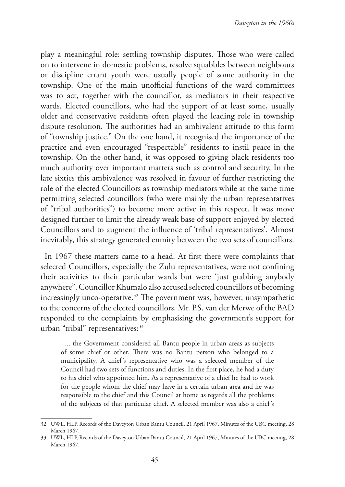play a meaningful role: settling township disputes. Those who were called on to intervene in domestic problems, resolve squabbles between neighbours or discipline errant youth were usually people of some authority in the township. One of the main unofficial functions of the ward committees was to act, together with the councillor, as mediators in their respective wards. Elected councillors, who had the support of at least some, usually older and conservative residents often played the leading role in township dispute resolution. The authorities had an ambivalent attitude to this form of "township justice." On the one hand, it recognised the importance of the practice and even encouraged "respectable" residents to instil peace in the township. On the other hand, it was opposed to giving black residents too much authority over important matters such as control and security. In the late sixties this ambivalence was resolved in favour of further restricting the role of the elected Councillors as township mediators while at the same time permitting selected councillors (who were mainly the urban representatives of "tribal authorities") to become more active in this respect. It was move designed further to limit the already weak base of support enjoyed by elected Councillors and to augment the influence of 'tribal representatives'. Almost inevitably, this strategy generated enmity between the two sets of councillors.

In 1967 these matters came to a head. At first there were complaints that selected Councillors, especially the Zulu representatives, were not confining their activities to their particular wards but were 'just grabbing anybody anywhere". Councillor Khumalo also accused selected councillors of becoming increasingly unco-operative.<sup>32</sup> The government was, however, unsympathetic to the concerns of the elected councillors. Mr. P.S. van der Merwe of the BAD responded to the complaints by emphasising the government's support for urban "tribal" representatives:<sup>33</sup>

... the Government considered all Bantu people in urban areas as subjects of some chief or other. There was no Bantu person who belonged to a municipality. A chief's representative who was a selected member of the Council had two sets of functions and duties. In the first place, he had a duty to his chief who appointed him. As a representative of a chief he had to work for the people whom the chief may have in a certain urban area and he was responsible to the chief and this Council at home as regards all the problems of the subjects of that particular chief. A selected member was also a chief's

<sup>32</sup> UWL, HLP, Records of the Daveyton Urban Bantu Council, 21 April 1967, Minutes of the UBC meeting, 28 March 1967.

<sup>33</sup> UWL, HLP, Records of the Daveyton Urban Bantu Council, 21 April 1967, Minutes of the UBC meeting, 28 March 1967.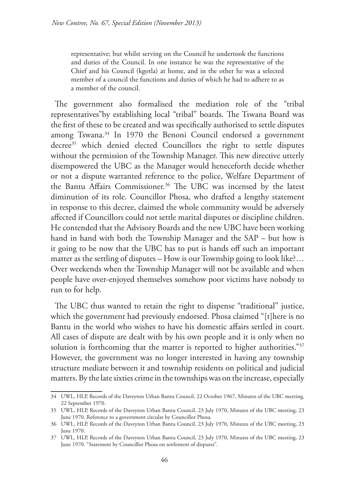representative; but whilst serving on the Council he undertook the functions and duties of the Council. In one instance he was the representative of the Chief and his Council (kgotla) at home, and in the other he was a selected member of a council the functions and duties of which he had to adhere to as a member of the council.

The government also formalised the mediation role of the "tribal representatives"by establishing local "tribal" boards. The Tswana Board was the first of these to be created and was specifically authorised to settle disputes among Tswana.<sup>34</sup> In 1970 the Benoni Council endorsed a government decree<sup>35</sup> which denied elected Councillors the right to settle disputes without the permission of the Township Manager. This new directive utterly disempowered the UBC as the Manager would heneceforth decide whether or not a dispute warranted reference to the police, Welfare Department of the Bantu Affairs Commissioner.<sup>36</sup> The UBC was incensed by the latest diminution of its role. Councillor Phosa, who drafted a lengthy statement in response to this decree, claimed the whole community would be adversely affected if Councillors could not settle marital disputes or discipline children. He contended that the Advisory Boards and the new UBC have been working hand in hand with both the Township Manager and the SAP – but how is it going to be now that the UBC has to put is hands off such an important matter as the settling of disputes – How is our Township going to look like?... Over weekends when the Township Manager will not be available and when people have over-enjoyed themselves somehow poor victims have nobody to run to for help.

The UBC thus wanted to retain the right to dispense "traditional" justice, which the government had previously endorsed. Phosa claimed "[t]here is no Bantu in the world who wishes to have his domestic affairs settled in court. All cases of dispute are dealt with by his own people and it is only when no solution is forthcoming that the matter is reported to higher authorities."<sup>37</sup> However, the government was no longer interested in having any township structure mediate between it and township residents on political and judicial matters. By the late sixties crime in the townships was on the increase, especially

<sup>34</sup> UWL, HLP, Records of the Daveyton Urban Bantu Council, 22 October 1967, Minutes of the UBC meeting, 22 September 1970.

<sup>35</sup> UWL, HLP, Records of the Daveyton Urban Bantu Council, 23 July 1970, Minutes of the UBC meeting, 23 June 1970. Reference to a government circular by Councillor Phosa.

<sup>36</sup> UWL, HLP, Records of the Daveyton Urban Bantu Council, 23 July 1970, Minutes of the UBC meeting, 23 June 1970.

<sup>37</sup> UWL, HLP, Records of the Daveyton Urban Bantu Council, 23 July 1970, Minutes of the UBC meeting, 23 June 1970. "Statement by Councillor Phosa on settlement of disputes".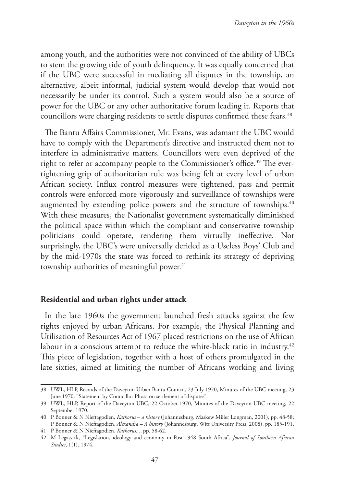among youth, and the authorities were not convinced of the ability of UBCs to stem the growing tide of youth delinquency. It was equally concerned that if the UBC were successful in mediating all disputes in the township, an alternative, albeit informal, judicial system would develop that would not necessarily be under its control. Such a system would also be a source of power for the UBC or any other authoritative forum leading it. Reports that councillors were charging residents to settle disputes confirmed these fears.<sup>38</sup>

The Bantu Affairs Commissioner, Mr. Evans, was adamant the UBC would have to comply with the Department's directive and instructed them not to interfere in administrative matters. Councillors were even deprived of the right to refer or accompany people to the Commissioner's office.<sup>39</sup> The evertightening grip of authoritarian rule was being felt at every level of urban African society. Influx control measures were tightened, pass and permit controls were enforced more vigorously and surveillance of townships were augmented by extending police powers and the structure of townships.<sup>40</sup> With these measures, the Nationalist government systematically diminished the political space within which the compliant and conservative township politicians could operate, rendering them virtually ineffective. Not surprisingly, the UBC's were universally derided as a Useless Boys' Club and by the mid-1970s the state was forced to rethink its strategy of depriving township authorities of meaningful power.<sup>41</sup>

### **Residential and urban rights under attack**

In the late 1960s the government launched fresh attacks against the few rights enjoyed by urban Africans. For example, the Physical Planning and Utilisation of Resources Act of 1967 placed restrictions on the use of African labour in a conscious attempt to reduce the white-black ratio in industry.<sup>42</sup> This piece of legislation, together with a host of others promulgated in the late sixties, aimed at limiting the number of Africans working and living

<sup>38</sup> UWL, HLP, Records of the Daveyton Urban Bantu Council, 23 July 1970, Minutes of the UBC meeting, 23 June 1970. "Statement by Councillor Phosa on settlement of disputes".

<sup>39</sup> UWL, HLP, Report of the Daveyton UBC, 22 October 1970, Minutes of the Daveyton UBC meeting, 22 September 1970.

<sup>40</sup> P Bonner & N Nieftagodien, *Kathorus – a history* (Johannesburg, Maskew Miller Longman, 2001), pp. 48-58; P Bonner & N Nieftagodien, *Alexandra – A history* (Johannesburg, Wits University Press, 2008), pp. 185-191.

<sup>41</sup> P Bonner & N Nieftagodien, *Kathorus...*, pp. 58-62.

<sup>42</sup> M Legassick, "Legislation, ideology and economy in Post-1948 South Africa", *Journal of Southern African Studies*, 1(1), 1974.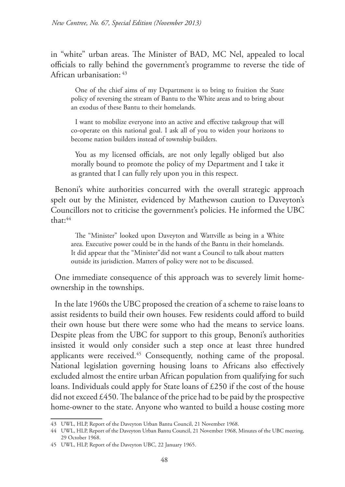in "white" urban areas. The Minister of BAD, MC Nel, appealed to local officials to rally behind the government's programme to reverse the tide of African urbanisation: 43

One of the chief aims of my Department is to bring to fruition the State policy of reversing the stream of Bantu to the White areas and to bring about an exodus of these Bantu to their homelands.

I want to mobilize everyone into an active and effective taskgroup that will co-operate on this national goal. I ask all of you to widen your horizons to become nation builders instead of township builders.

You as my licensed officials, are not only legally obliged but also morally bound to promote the policy of my Department and I take it as granted that I can fully rely upon you in this respect.

Benoni's white authorities concurred with the overall strategic approach spelt out by the Minister, evidenced by Mathewson caution to Daveyton's Councillors not to criticise the government's policies. He informed the UBC that:44

The "Minister" looked upon Daveyton and Wattville as being in a White area. Executive power could be in the hands of the Bantu in their homelands. It did appear that the "Minister"did not want a Council to talk about matters outside its jurisdiction. Matters of policy were not to be discussed.

One immediate consequence of this approach was to severely limit homeownership in the townships.

In the late 1960s the UBC proposed the creation of a scheme to raise loans to assist residents to build their own houses. Few residents could afford to build their own house but there were some who had the means to service loans. Despite pleas from the UBC for support to this group, Benoni's authorities insisted it would only consider such a step once at least three hundred applicants were received.<sup>45</sup> Consequently, nothing came of the proposal. National legislation governing housing loans to Africans also effectively excluded almost the entire urban African population from qualifying for such loans. Individuals could apply for State loans of £250 if the cost of the house did not exceed  $£450$ . The balance of the price had to be paid by the prospective home-owner to the state. Anyone who wanted to build a house costing more

<sup>43</sup> UWL, HLP, Report of the Daveyton Urban Bantu Council, 21 November 1968.

<sup>44</sup> UWL, HLP, Report of the Daveyton Urban Bantu Council, 21 November 1968, Minutes of the UBC meeting, 29 October 1968.

<sup>45</sup> UWL, HLP, Report of the Daveyton UBC, 22 January 1965.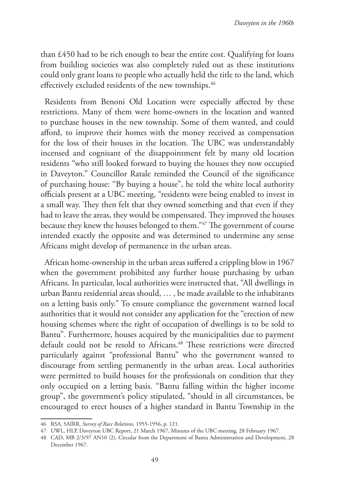than £450 had to be rich enough to bear the entire cost. Qualifying for loans from building societies was also completely ruled out as these institutions could only grant loans to people who actually held the title to the land, which effectively excluded residents of the new townships.<sup>46</sup>

Residents from Benoni Old Location were especially affected by these restrictions. Many of them were home-owners in the location and wanted to purchase houses in the new township. Some of them wanted, and could afford, to improve their homes with the money received as compensation for the loss of their houses in the location. The UBC was understandably incensed and cognisant of the disappointment felt by many old location residents "who still looked forward to buying the houses they now occupied in Daveyton." Councillor Ratale reminded the Council of the significance of purchasing house: "By buying a house", he told the white local authority officials present at a UBC meeting, "residents were being enabled to invest in a small way. They then felt that they owned something and that even if they had to leave the areas, they would be compensated. They improved the houses because they knew the houses belonged to them."47 The government of course intended exactly the opposite and was determined to undermine any sense Africans might develop of permanence in the urban areas.

African home-ownership in the urban areas suffered a crippling blow in 1967 when the government prohibited any further house purchasing by urban Africans. In particular, local authorities were instructed that, "All dwellings in urban Bantu residential areas should, … , be made available to the inhabitants on a letting basis only." To ensure compliance the government warned local authorities that it would not consider any application for the "erection of new housing schemes where the right of occupation of dwellings is to be sold to Bantu". Furthermore, houses acquired by the municipalities due to payment default could not be resold to Africans.<sup>48</sup> These restrictions were directed particularly against "professional Bantu" who the government wanted to discourage from settling permanently in the urban areas. Local authorities were permitted to build houses for the professionals on condition that they only occupied on a letting basis. "Bantu falling within the higher income group", the government's policy stipulated, "should in all circumstances, be encouraged to erect houses of a higher standard in Bantu Township in the

<sup>46</sup> RSA, SAIRR, *Survey of Race Relations*, 1955-1956, p. 121.

<sup>47</sup> UWL, HLP, Daveyton UBC Report, 21 March 1967, Minutes of the UBC meeting, 28 February 1967.

<sup>48</sup> CAD, MB 2/3/97 AN10 (2), Circular from the Department of Bantu Administration and Development, 28 December 1967.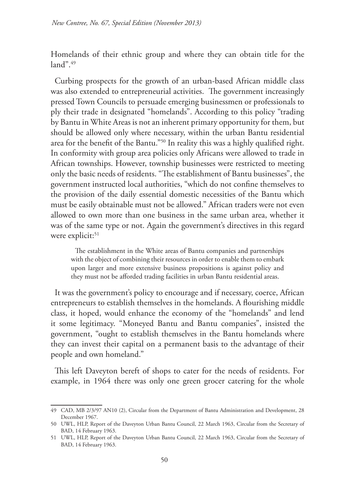Homelands of their ethnic group and where they can obtain title for the  $land$ ".49

Curbing prospects for the growth of an urban-based African middle class was also extended to entrepreneurial activities. The government increasingly pressed Town Councils to persuade emerging businessmen or professionals to ply their trade in designated "homelands". According to this policy "trading by Bantu in White Areas is not an inherent primary opportunity for them, but should be allowed only where necessary, within the urban Bantu residential area for the benefit of the Bantu."50 In reality this was a highly qualified right. In conformity with group area policies only Africans were allowed to trade in African townships. However, township businesses were restricted to meeting only the basic needs of residents. "The establishment of Bantu businesses", the government instructed local authorities, "which do not confine themselves to the provision of the daily essential domestic necessities of the Bantu which must be easily obtainable must not be allowed." African traders were not even allowed to own more than one business in the same urban area, whether it was of the same type or not. Again the government's directives in this regard were explicit:<sup>51</sup>

The establishment in the White areas of Bantu companies and partnerships with the object of combining their resources in order to enable them to embark upon larger and more extensive business propositions is against policy and they must not be afforded trading facilities in urban Bantu residential areas.

It was the government's policy to encourage and if necessary, coerce, African entrepreneurs to establish themselves in the homelands. A flourishing middle class, it hoped, would enhance the economy of the "homelands" and lend it some legitimacy. "Moneyed Bantu and Bantu companies", insisted the government, "ought to establish themselves in the Bantu homelands where they can invest their capital on a permanent basis to the advantage of their people and own homeland."

This left Daveyton bereft of shops to cater for the needs of residents. For example, in 1964 there was only one green grocer catering for the whole

<sup>49</sup> CAD, MB 2/3/97 AN10 (2), Circular from the Department of Bantu Administration and Development, 28 December 1967.

<sup>50</sup> UWL, HLP, Report of the Daveyton Urban Bantu Council, 22 March 1963, Circular from the Secretary of BAD, 14 February 1963.

<sup>51</sup> UWL, HLP, Report of the Daveyton Urban Bantu Council, 22 March 1963, Circular from the Secretary of BAD, 14 February 1963.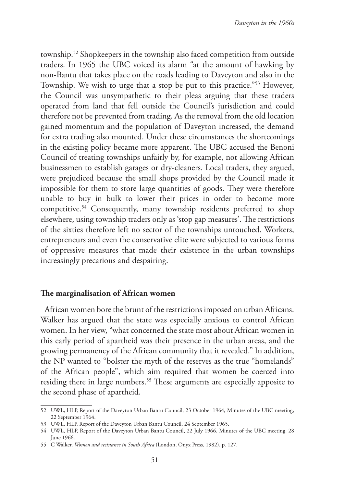township.52 Shopkeepers in the township also faced competition from outside traders. In 1965 the UBC voiced its alarm "at the amount of hawking by non-Bantu that takes place on the roads leading to Daveyton and also in the Township. We wish to urge that a stop be put to this practice."53 However, the Council was unsympathetic to their pleas arguing that these traders operated from land that fell outside the Council's jurisdiction and could therefore not be prevented from trading. As the removal from the old location gained momentum and the population of Daveyton increased, the demand for extra trading also mounted. Under these circumstances the shortcomings in the existing policy became more apparent. The UBC accused the Benoni Council of treating townships unfairly by, for example, not allowing African businessmen to establish garages or dry-cleaners. Local traders, they argued, were prejudiced because the small shops provided by the Council made it impossible for them to store large quantities of goods. They were therefore unable to buy in bulk to lower their prices in order to become more competitive.<sup>54</sup> Consequently, many township residents preferred to shop elsewhere, using township traders only as 'stop gap measures'. The restrictions of the sixties therefore left no sector of the townships untouched. Workers, entrepreneurs and even the conservative elite were subjected to various forms of oppressive measures that made their existence in the urban townships increasingly precarious and despairing.

### **The marginalisation of African women**

African women bore the brunt of the restrictions imposed on urban Africans. Walker has argued that the state was especially anxious to control African women. In her view, "what concerned the state most about African women in this early period of apartheid was their presence in the urban areas, and the growing permanency of the African community that it revealed." In addition, the NP wanted to "bolster the myth of the reserves as the true "homelands" of the African people", which aim required that women be coerced into residing there in large numbers.<sup>55</sup> These arguments are especially apposite to the second phase of apartheid.

<sup>52</sup> UWL, HLP, Report of the Daveyton Urban Bantu Council, 23 October 1964, Minutes of the UBC meeting, 22 September 1964.

<sup>53</sup> UWL, HLP, Report of the Daveyton Urban Bantu Council, 24 September 1965.

<sup>54</sup> UWL, HLP, Report of the Daveyton Urban Bantu Council, 22 July 1966, Minutes of the UBC meeting, 28 June 1966.

<sup>55</sup> C Walker, *Women and resistance in South Africa* (London, Onyx Press, 1982), p. 127.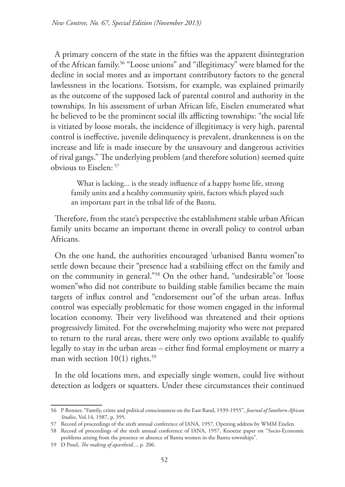A primary concern of the state in the fifties was the apparent disintegration of the African family.56 "Loose unions" and "illegitimacy" were blamed for the decline in social mores and as important contributory factors to the general lawlessness in the locations. Tsotsism, for example, was explained primarily as the outcome of the supposed lack of parental control and authority in the townships. In his assessment of urban African life, Eiselen enumerated what he believed to be the prominent social ills afflicting townships: "the social life is vitiated by loose morals, the incidence of illegitimacy is very high, parental control is ineffective, juvenile delinquency is prevalent, drunkenness is on the increase and life is made insecure by the unsavoury and dangerous activities of rival gangs." The underlying problem (and therefore solution) seemed quite obvious to Eiselen: 57

What is lacking... is the steady influence of a happy home life, strong family units and a healthy community spirit, factors which played such an important part in the tribal life of the Bantu.

Therefore, from the state's perspective the establishment stable urban African family units became an important theme in overall policy to control urban Africans.

On the one hand, the authorities encouraged 'urbanised Bantu women"to settle down because their "presence had a stabilising effect on the family and on the community in general."58 On the other hand, "undesirable"or 'loose women"who did not contribute to building stable families became the main targets of influx control and "endorsement out"of the urban areas. Influx control was especially problematic for those women engaged in the informal location economy. Their very livelihood was threatened and their options progressively limited. For the overwhelming majority who were not prepared to return to the rural areas, there were only two options available to qualify legally to stay in the urban areas – either find formal employment or marry a man with section  $10(1)$  rights.<sup>59</sup>

In the old locations men, and especially single women, could live without detection as lodgers or squatters. Under these circumstances their continued

<sup>56</sup> P Bonner, "Family, crime and political consciousness on the East Rand, 1939-1955", *Journal of Southern African Studies*, Vol.14, 1987, p. 395.

<sup>57</sup> Record of proceedings of the sixth annual conference of IANA, 1957, Opening address by WMM Eiselen.

<sup>58</sup> Record of proceedings of the sixth annual conference of IANA, 1957, Knoetze paper on "Socio-Economic problems arising from the presence or absence of Bantu women in the Bantu townships".

<sup>59</sup> D Posel, *The making of apartheid...*, p. 206.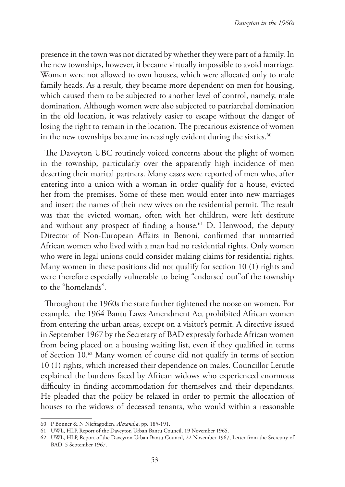presence in the town was not dictated by whether they were part of a family. In the new townships, however, it became virtually impossible to avoid marriage. Women were not allowed to own houses, which were allocated only to male family heads. As a result, they became more dependent on men for housing, which caused them to be subjected to another level of control, namely, male domination. Although women were also subjected to patriarchal domination in the old location, it was relatively easier to escape without the danger of losing the right to remain in the location. The precarious existence of women in the new townships became increasingly evident during the sixties. $60$ 

The Daveyton UBC routinely voiced concerns about the plight of women in the township, particularly over the apparently high incidence of men deserting their marital partners. Many cases were reported of men who, after entering into a union with a woman in order qualify for a house, evicted her from the premises. Some of these men would enter into new marriages and insert the names of their new wives on the residential permit. The result was that the evicted woman, often with her children, were left destitute and without any prospect of finding a house.<sup>61</sup> D. Henwood, the deputy Director of Non-European Affairs in Benoni, confirmed that unmarried African women who lived with a man had no residential rights. Only women who were in legal unions could consider making claims for residential rights. Many women in these positions did not qualify for section 10 (1) rights and were therefore especially vulnerable to being "endorsed out"of the township to the "homelands".

Throughout the 1960s the state further tightened the noose on women. For example, the 1964 Bantu Laws Amendment Act prohibited African women from entering the urban areas, except on a visitor's permit. A directive issued in September 1967 by the Secretary of BAD expressly forbade African women from being placed on a housing waiting list, even if they qualified in terms of Section 10.62 Many women of course did not qualify in terms of section 10 (1) rights, which increased their dependence on males. Councillor Lerutle explained the burdens faced by African widows who experienced enormous difficulty in finding accommodation for themselves and their dependants. He pleaded that the policy be relaxed in order to permit the allocation of houses to the widows of deceased tenants, who would within a reasonable

<sup>60</sup> P Bonner & N Nieftagodien, *Alexandra*, pp. 185-191.

<sup>61</sup> UWL, HLP, Report of the Daveyton Urban Bantu Council, 19 November 1965.

<sup>62</sup> UWL, HLP, Report of the Daveyton Urban Bantu Council, 22 November 1967, Letter from the Secretary of BAD, 5 September 1967.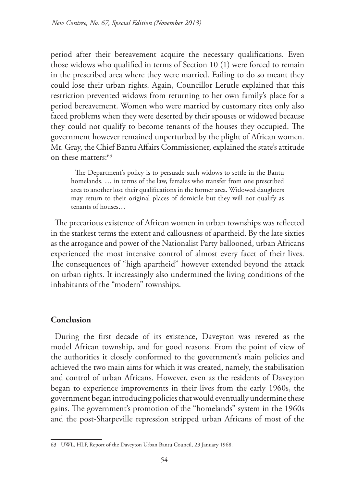period after their bereavement acquire the necessary qualifications. Even those widows who qualified in terms of Section 10 (1) were forced to remain in the prescribed area where they were married. Failing to do so meant they could lose their urban rights. Again, Councillor Lerutle explained that this restriction prevented widows from returning to her own family's place for a period bereavement. Women who were married by customary rites only also faced problems when they were deserted by their spouses or widowed because they could not qualify to become tenants of the houses they occupied. The government however remained unperturbed by the plight of African women. Mr. Gray, the Chief Bantu Affairs Commissioner, explained the state's attitude on these matters:63

The Department's policy is to persuade such widows to settle in the Bantu homelands. … in terms of the law, females who transfer from one prescribed area to another lose their qualifications in the former area. Widowed daughters may return to their original places of domicile but they will not qualify as tenants of houses…

The precarious existence of African women in urban townships was reflected in the starkest terms the extent and callousness of apartheid. By the late sixties as the arrogance and power of the Nationalist Party ballooned, urban Africans experienced the most intensive control of almost every facet of their lives. The consequences of "high apartheid" however extended beyond the attack on urban rights. It increasingly also undermined the living conditions of the inhabitants of the "modern" townships.

## **Conclusion**

During the first decade of its existence, Daveyton was revered as the model African township, and for good reasons. From the point of view of the authorities it closely conformed to the government's main policies and achieved the two main aims for which it was created, namely, the stabilisation and control of urban Africans. However, even as the residents of Daveyton began to experience improvements in their lives from the early 1960s, the government began introducing policies that would eventually undermine these gains. The government's promotion of the "homelands" system in the 1960s and the post-Sharpeville repression stripped urban Africans of most of the

<sup>63</sup> UWL, HLP, Report of the Daveyton Urban Bantu Council, 23 January 1968.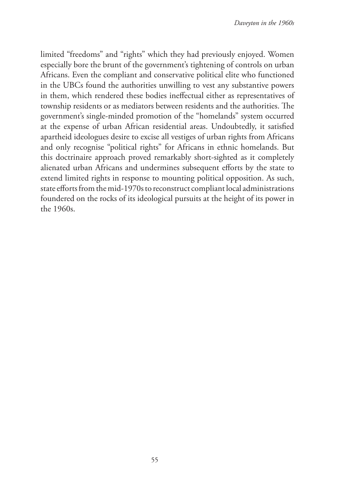limited "freedoms" and "rights" which they had previously enjoyed. Women especially bore the brunt of the government's tightening of controls on urban Africans. Even the compliant and conservative political elite who functioned in the UBCs found the authorities unwilling to vest any substantive powers in them, which rendered these bodies ineffectual either as representatives of township residents or as mediators between residents and the authorities. The government's single-minded promotion of the "homelands" system occurred at the expense of urban African residential areas. Undoubtedly, it satisfied apartheid ideologues desire to excise all vestiges of urban rights from Africans and only recognise "political rights" for Africans in ethnic homelands. But this doctrinaire approach proved remarkably short-sighted as it completely alienated urban Africans and undermines subsequent efforts by the state to extend limited rights in response to mounting political opposition. As such, state efforts from the mid-1970s to reconstruct compliant local administrations foundered on the rocks of its ideological pursuits at the height of its power in the 1960s.